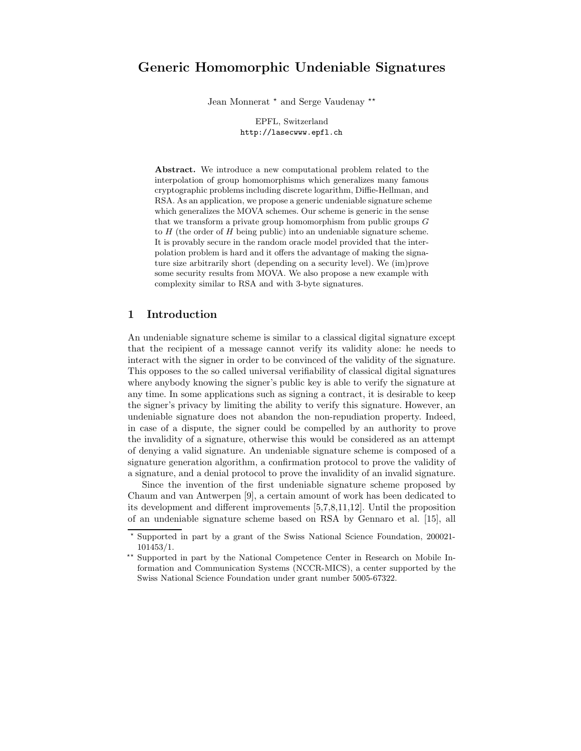# Generic Homomorphic Undeniable Signatures

Jean Monnerat \* and Serge Vaudenay \*\*

EPFL, Switzerland http://lasecwww.epfl.ch

Abstract. We introduce a new computational problem related to the interpolation of group homomorphisms which generalizes many famous cryptographic problems including discrete logarithm, Diffie-Hellman, and RSA. As an application, we propose a generic undeniable signature scheme which generalizes the MOVA schemes. Our scheme is generic in the sense that we transform a private group homomorphism from public groups G to  $H$  (the order of  $H$  being public) into an undeniable signature scheme. It is provably secure in the random oracle model provided that the interpolation problem is hard and it offers the advantage of making the signature size arbitrarily short (depending on a security level). We (im)prove some security results from MOVA. We also propose a new example with complexity similar to RSA and with 3-byte signatures.

### 1 Introduction

An undeniable signature scheme is similar to a classical digital signature except that the recipient of a message cannot verify its validity alone: he needs to interact with the signer in order to be convinced of the validity of the signature. This opposes to the so called universal verifiability of classical digital signatures where anybody knowing the signer's public key is able to verify the signature at any time. In some applications such as signing a contract, it is desirable to keep the signer's privacy by limiting the ability to verify this signature. However, an undeniable signature does not abandon the non-repudiation property. Indeed, in case of a dispute, the signer could be compelled by an authority to prove the invalidity of a signature, otherwise this would be considered as an attempt of denying a valid signature. An undeniable signature scheme is composed of a signature generation algorithm, a confirmation protocol to prove the validity of a signature, and a denial protocol to prove the invalidity of an invalid signature.

Since the invention of the first undeniable signature scheme proposed by Chaum and van Antwerpen [9], a certain amount of work has been dedicated to its development and different improvements [5,7,8,11,12]. Until the proposition of an undeniable signature scheme based on RSA by Gennaro et al. [15], all

<sup>?</sup> Supported in part by a grant of the Swiss National Science Foundation, 200021- 101453/1.

<sup>\*\*</sup> Supported in part by the National Competence Center in Research on Mobile Information and Communication Systems (NCCR-MICS), a center supported by the Swiss National Science Foundation under grant number 5005-67322.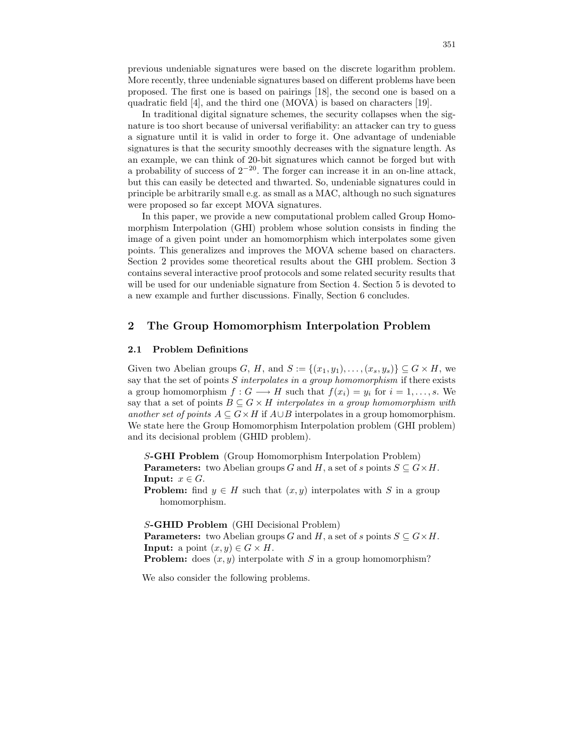previous undeniable signatures were based on the discrete logarithm problem. More recently, three undeniable signatures based on different problems have been proposed. The first one is based on pairings [18], the second one is based on a quadratic field [4], and the third one (MOVA) is based on characters [19].

In traditional digital signature schemes, the security collapses when the signature is too short because of universal verifiability: an attacker can try to guess a signature until it is valid in order to forge it. One advantage of undeniable signatures is that the security smoothly decreases with the signature length. As an example, we can think of 20-bit signatures which cannot be forged but with a probability of success of  $2^{-20}$ . The forger can increase it in an on-line attack, but this can easily be detected and thwarted. So, undeniable signatures could in principle be arbitrarily small e.g. as small as a MAC, although no such signatures were proposed so far except MOVA signatures.

In this paper, we provide a new computational problem called Group Homomorphism Interpolation (GHI) problem whose solution consists in finding the image of a given point under an homomorphism which interpolates some given points. This generalizes and improves the MOVA scheme based on characters. Section 2 provides some theoretical results about the GHI problem. Section 3 contains several interactive proof protocols and some related security results that will be used for our undeniable signature from Section 4. Section 5 is devoted to a new example and further discussions. Finally, Section 6 concludes.

### 2 The Group Homomorphism Interpolation Problem

### 2.1 Problem Definitions

Given two Abelian groups G, H, and  $S := \{(x_1, y_1), \ldots, (x_s, y_s)\} \subseteq G \times H$ , we say that the set of points  $S$  interpolates in a group homomorphism if there exists a group homomorphism  $f: G \longrightarrow H$  such that  $f(x_i) = y_i$  for  $i = 1, \ldots, s$ . We say that a set of points  $B \subseteq G \times H$  interpolates in a group homomorphism with another set of points  $A \subseteq G \times H$  if  $A \cup B$  interpolates in a group homomorphism. We state here the Group Homomorphism Interpolation problem (GHI problem) and its decisional problem (GHID problem).

S-GHI Problem (Group Homomorphism Interpolation Problem) **Parameters:** two Abelian groups G and H, a set of s points  $S \subseteq G \times H$ . Input:  $x \in G$ .

**Problem:** find  $y \in H$  such that  $(x, y)$  interpolates with S in a group homomorphism.

S-GHID Problem (GHI Decisional Problem) **Parameters:** two Abelian groups G and H, a set of s points  $S \subseteq G \times H$ . **Input:** a point  $(x, y) \in G \times H$ . **Problem:** does  $(x, y)$  interpolate with S in a group homomorphism?

We also consider the following problems.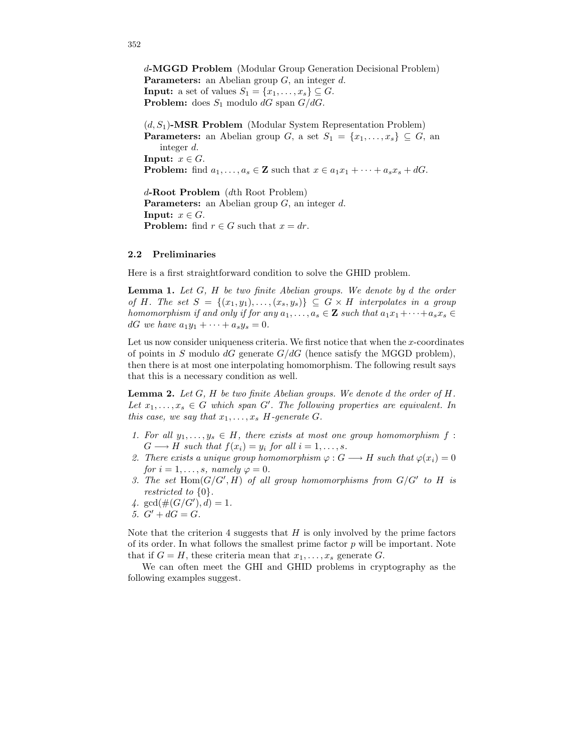d-MGGD Problem (Modular Group Generation Decisional Problem) Parameters: an Abelian group G, an integer d. **Input:** a set of values  $S_1 = \{x_1, \ldots, x_s\} \subseteq G$ . **Problem:** does  $S_1$  modulo dG span  $G/dG$ .

 $(d, S_1)$ -MSR Problem (Modular System Representation Problem) **Parameters:** an Abelian group G, a set  $S_1 = \{x_1, \ldots, x_s\} \subseteq G$ , an integer d. Input:  $x \in G$ . **Problem:** find  $a_1, \ldots, a_s \in \mathbb{Z}$  such that  $x \in a_1x_1 + \cdots + a_sx_s + dG$ .

d-Root Problem (dth Root Problem) **Parameters:** an Abelian group  $G$ , an integer  $d$ . Input:  $x \in G$ . **Problem:** find  $r \in G$  such that  $x = dr$ .

### 2.2 Preliminaries

Here is a first straightforward condition to solve the GHID problem.

**Lemma 1.** Let  $G$ ,  $H$  be two finite Abelian groups. We denote by  $d$  the order of H. The set  $S = \{(x_1, y_1), \ldots, (x_s, y_s)\} \subseteq G \times H$  interpolates in a group homomorphism if and only if for any  $a_1, \ldots, a_s \in \mathbb{Z}$  such that  $a_1x_1 + \cdots + a_sx_s \in$ dG we have  $a_1y_1 + \cdots + a_sy_s = 0$ .

Let us now consider uniqueness criteria. We first notice that when the x-coordinates of points in S modulo  $dG$  generate  $G/dG$  (hence satisfy the MGGD problem), then there is at most one interpolating homomorphism. The following result says that this is a necessary condition as well.

**Lemma 2.** Let  $G$ ,  $H$  be two finite Abelian groups. We denote  $d$  the order of  $H$ . Let  $x_1, \ldots, x_s \in G$  which span  $G'$ . The following properties are equivalent. In this case, we say that  $x_1, \ldots, x_s$  H-generate G.

- 1. For all  $y_1, \ldots, y_s \in H$ , there exists at most one group homomorphism  $f$ :  $G \longrightarrow H$  such that  $f(x_i) = y_i$  for all  $i = 1, \ldots, s$ .
- 2. There exists a unique group homomorphism  $\varphi: G \longrightarrow H$  such that  $\varphi(x_i) = 0$ for  $i = 1, \ldots, s$ , namely  $\varphi = 0$ .
- 3. The set  $\text{Hom}(G/G', H)$  of all group homomorphisms from  $G/G'$  to H is restricted to {0}.
- 4.  $gcd(\#(G/G'), d) = 1$ .
- 5.  $G' + dG = G$ .

Note that the criterion 4 suggests that  $H$  is only involved by the prime factors of its order. In what follows the smallest prime factor  $p$  will be important. Note that if  $G = H$ , these criteria mean that  $x_1, \ldots, x_s$  generate G.

We can often meet the GHI and GHID problems in cryptography as the following examples suggest.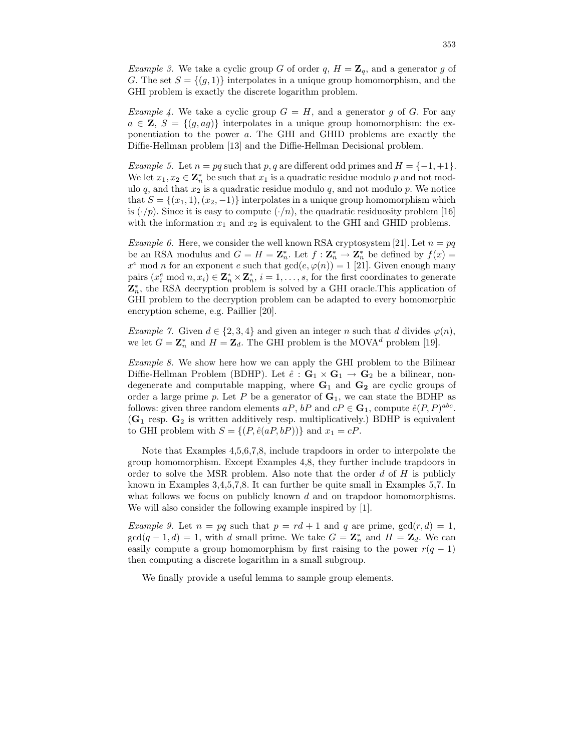*Example 3.* We take a cyclic group G of order q,  $H = \mathbb{Z}_q$ , and a generator g of G. The set  $S = \{(g, 1)\}\$ interpolates in a unique group homomorphism, and the GHI problem is exactly the discrete logarithm problem.

*Example 4.* We take a cyclic group  $G = H$ , and a generator g of G. For any  $a \in \mathbf{Z}, S = \{(g, ag)\}\$ interpolates in a unique group homomorphism: the exponentiation to the power a. The GHI and GHID problems are exactly the Diffie-Hellman problem [13] and the Diffie-Hellman Decisional problem.

Example 5. Let  $n = pq$  such that p, q are different odd primes and  $H = \{-1, +1\}$ . We let  $x_1, x_2 \in \mathbb{Z}_n^*$  be such that  $x_1$  is a quadratic residue modulo p and not modulo q, and that  $x_2$  is a quadratic residue modulo q, and not modulo p. We notice that  $S = \{(x_1, 1), (x_2, -1)\}\$  interpolates in a unique group homomorphism which is  $(\cdot/p)$ . Since it is easy to compute  $(\cdot/n)$ , the quadratic residuosity problem [16] with the information  $x_1$  and  $x_2$  is equivalent to the GHI and GHID problems.

*Example 6.* Here, we consider the well known RSA cryptosystem [21]. Let  $n = pq$ be an RSA modulus and  $G = H = \mathbb{Z}_n^*$ . Let  $f: \mathbb{Z}_n^* \to \mathbb{Z}_n^*$  be defined by  $f(x) =$  $x^e \mod n$  for an exponent e such that  $gcd(e, \varphi(n)) = 1$  [21]. Given enough many pairs  $(x_i^e \mod n, x_i) \in \mathbb{Z}_n^* \times \mathbb{Z}_n^*, i = 1, \ldots, s$ , for the first coordinates to generate  $\mathbf{Z}_n^*$ , the RSA decryption problem is solved by a GHI oracle. This application of GHI problem to the decryption problem can be adapted to every homomorphic encryption scheme, e.g. Paillier [20].

Example 7. Given  $d \in \{2,3,4\}$  and given an integer n such that d divides  $\varphi(n)$ , we let  $G = \mathbf{Z}_n^*$  and  $H = \mathbf{Z}_d$ . The GHI problem is the MOVA<sup>d</sup> problem [19].

Example 8. We show here how we can apply the GHI problem to the Bilinear Diffie-Hellman Problem (BDHP). Let  $\hat{e}$  :  $G_1 \times G_1 \rightarrow G_2$  be a bilinear, nondegenerate and computable mapping, where  $G_1$  and  $G_2$  are cyclic groups of order a large prime p. Let P be a generator of  $G_1$ , we can state the BDHP as follows: given three random elements  $aP$ ,  $bP$  and  $cP \in \mathbf{G}_1$ , compute  $\hat{e}(P, P)^{abc}$ .  $(G_1 \text{ resp. } G_2 \text{ is written additively resp. multiplicatively.) BDHP is equivalent.$ to GHI problem with  $S = \{(P, \hat{e}(aP, bP))\}$  and  $x_1 = cP$ .

Note that Examples 4,5,6,7,8, include trapdoors in order to interpolate the group homomorphism. Except Examples 4,8, they further include trapdoors in order to solve the MSR problem. Also note that the order  $d$  of  $H$  is publicly known in Examples 3,4,5,7,8. It can further be quite small in Examples 5,7. In what follows we focus on publicly known  $d$  and on trapdoor homomorphisms. We will also consider the following example inspired by [1].

Example 9. Let  $n = pq$  such that  $p = rd + 1$  and q are prime,  $gcd(r, d) = 1$ ,  $gcd(q-1, d) = 1$ , with d small prime. We take  $G = \mathbb{Z}_n^*$  and  $H = \mathbb{Z}_d$ . We can easily compute a group homomorphism by first raising to the power  $r(q - 1)$ then computing a discrete logarithm in a small subgroup.

We finally provide a useful lemma to sample group elements.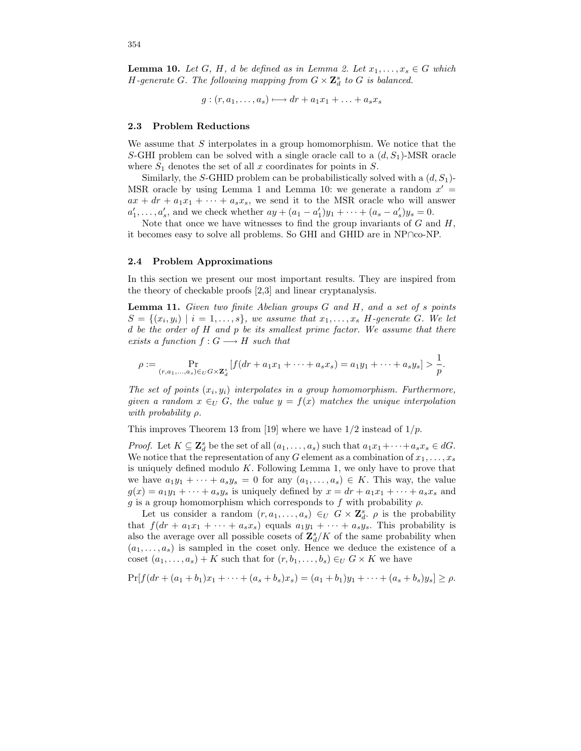**Lemma 10.** Let G, H, d be defined as in Lemma 2. Let  $x_1, \ldots, x_s \in G$  which *H*-generate G. The following mapping from  $G \times \mathbf{Z}_{d}^{s}$  to G is balanced.

 $g:(r, a_1, \ldots, a_s) \longmapsto dr + a_1x_1 + \ldots + a_sx_s$ 

#### 2.3 Problem Reductions

We assume that S interpolates in a group homomorphism. We notice that the S-GHI problem can be solved with a single oracle call to a  $(d, S_1)$ -MSR oracle where  $S_1$  denotes the set of all x coordinates for points in S.

Similarly, the S-GHID problem can be probabilistically solved with a  $(d, S_1)$ -MSR oracle by using Lemma 1 and Lemma 10: we generate a random  $x' =$  $ax + dr + a_1x_1 + \cdots + a_sx_s$ , we send it to the MSR oracle who will answer  $a'_1, \ldots, a'_s$ , and we check whether  $ay + (a_1 - a'_1)y_1 + \cdots + (a_s - a'_s)y_s = 0$ .

Note that once we have witnesses to find the group invariants of  $G$  and  $H$ , it becomes easy to solve all problems. So GHI and GHID are in NP∩co-NP.

#### 2.4 Problem Approximations

In this section we present our most important results. They are inspired from the theory of checkable proofs [2,3] and linear cryptanalysis.

**Lemma 11.** Given two finite Abelian groups  $G$  and  $H$ , and a set of  $s$  points  $S = \{(x_i, y_i) \mid i = 1, \ldots, s\},$  we assume that  $x_1, \ldots, x_s$  H-generate G. We let  $d$  be the order of H and p be its smallest prime factor. We assume that there exists a function  $f: G \longrightarrow H$  such that

$$
\rho := \Pr_{(r, a_1, ..., a_s) \in U} G \times \mathbf{Z}_d^s} [f(dr + a_1x_1 + \dots + a_sx_s) = a_1y_1 + \dots + a_sy_s] > \frac{1}{p}.
$$

The set of points  $(x_i, y_i)$  interpolates in a group homomorphism. Furthermore, given a random  $x \in_U G$ , the value  $y = f(x)$  matches the unique interpolation with probability  $\rho$ .

This improves Theorem 13 from [19] where we have  $1/2$  instead of  $1/p$ .

*Proof.* Let  $K \subseteq \mathbf{Z}_{d}^{s}$  be the set of all  $(a_1, \ldots, a_s)$  such that  $a_1x_1 + \cdots + a_sx_s \in dG$ . We notice that the representation of any G element as a combination of  $x_1, \ldots, x_s$ is uniquely defined modulo  $K$ . Following Lemma 1, we only have to prove that we have  $a_1y_1 + \cdots + a_sy_s = 0$  for any  $(a_1, \ldots, a_s) \in K$ . This way, the value  $g(x) = a_1y_1 + \cdots + a_sy_s$  is uniquely defined by  $x = dr + a_1x_1 + \cdots + a_sx_s$  and g is a group homomorphism which corresponds to f with probability  $\rho$ .

Let us consider a random  $(r, a_1, \ldots, a_s) \in_U G \times \mathbf{Z}_d^s$ .  $\rho$  is the probability that  $f(dr + a_1x_1 + \cdots + a_sx_s)$  equals  $a_1y_1 + \cdots + a_sy_s$ . This probability is also the average over all possible cosets of  $\mathbf{Z}_{d}^{s}/K$  of the same probability when  $(a_1, \ldots, a_s)$  is sampled in the coset only. Hence we deduce the existence of a coset  $(a_1, \ldots, a_s) + K$  such that for  $(r, b_1, \ldots, b_s) \in_U G \times K$  we have

$$
\Pr[f(dr + (a_1 + b_1)x_1 + \cdots + (a_s + b_s)x_s) = (a_1 + b_1)y_1 + \cdots + (a_s + b_s)y_s] \ge \rho.
$$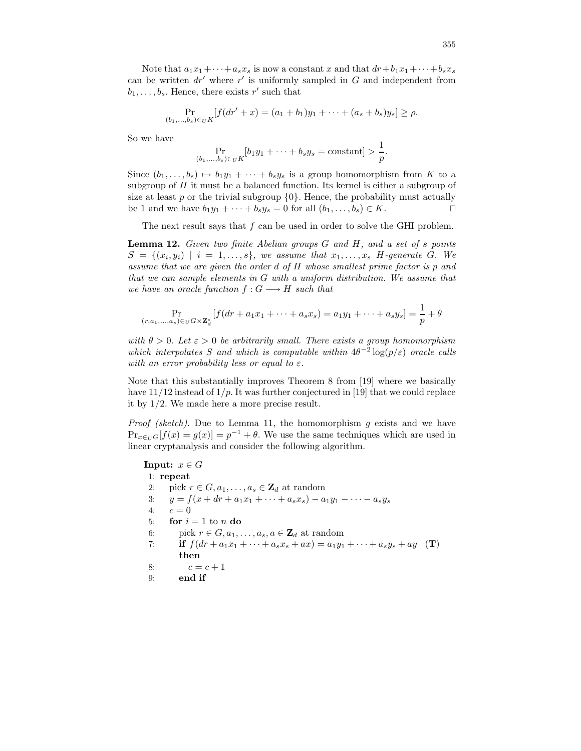Note that  $a_1x_1 + \cdots + a_sx_s$  is now a constant x and that  $dr + b_1x_1 + \cdots + b_sx_s$ can be written  $dr'$  where r' is uniformly sampled in G and independent from  $b_1, \ldots, b_s$ . Hence, there exists r' such that

$$
\Pr_{(b_1,...,b_s)\in_U K}[f(dr'+x)=(a_1+b_1)y_1+\cdots+(a_s+b_s)y_s]\geq \rho.
$$

So we have

$$
\Pr_{(b_1,\ldots,b_s)\in_U K}[b_1y_1+\cdots+b_sy_s=\text{constant}]>\frac{1}{p}.
$$

Since  $(b_1, \ldots, b_s) \mapsto b_1y_1 + \cdots + b_sy_s$  is a group homomorphism from K to a subgroup of  $H$  it must be a balanced function. Its kernel is either a subgroup of size at least p or the trivial subgroup  $\{0\}$ . Hence, the probability must actually be 1 and we have  $b_1u_1 + \cdots + b_su_n = 0$  for all  $(b_1, \ldots, b_n) \in K$ . be 1 and we have  $b_1y_1 + \cdots + b_sy_s = 0$  for all  $(b_1, ..., b_s) \in K$ .

The next result says that  $f$  can be used in order to solve the GHI problem.

**Lemma 12.** Given two finite Abelian groups  $G$  and  $H$ , and a set of  $s$  points  $S = \{(x_i, y_i) \mid i = 1, \ldots, s\},$  we assume that  $x_1, \ldots, x_s$  H-generate G. We assume that we are given the order d of H whose smallest prime factor is p and that we can sample elements in G with a uniform distribution. We assume that we have an oracle function  $f: G \longrightarrow H$  such that

$$
\Pr_{(r,a_1,...,a_s)\in U} G \times \mathbf{Z}_d^s \left[ f(dr + a_1x_1 + \dots + a_sx_s) = a_1y_1 + \dots + a_sy_s \right] = \frac{1}{p} + \theta
$$

with  $\theta > 0$ . Let  $\varepsilon > 0$  be arbitrarily small. There exists a group homomorphism which interpolates S and which is computable within  $4\theta^{-2} \log(p/\varepsilon)$  oracle calls with an error probability less or equal to  $\varepsilon$ .

Note that this substantially improves Theorem 8 from [19] where we basically have  $11/12$  instead of  $1/p$ . It was further conjectured in [19] that we could replace it by 1/2. We made here a more precise result.

*Proof (sketch)*. Due to Lemma 11, the homomorphism  $g$  exists and we have  $Pr_{x \in U} G[f(x) = g(x)] = p^{-1} + \theta$ . We use the same techniques which are used in linear cryptanalysis and consider the following algorithm.

Input:  $x \in G$ 1: repeat 2: pick  $r \in G$ ,  $a_1, \ldots, a_s \in \mathbb{Z}_d$  at random<br>3:  $y = f(x + dr + a_1x_1 + \cdots + a_sx_s) - a$ 3:  $y = f(x + dr + a_1x_1 + \cdots + a_sx_s) - a_1y_1 - \cdots - a_sy_s$ <br>4:  $c = 0$  $c = 0$ 5: for  $i = 1$  to n do 6: pick  $r \in G$ ,  $a_1, \ldots, a_s$ ,  $a \in \mathbb{Z}_d$  at random<br>7: **if**  $f(dr + a_1x_1 + \cdots + a_sx_s + ax) = a_1y_1$ if  $f(dr + a_1x_1 + \cdots + a_sx_s + ax) = a_1y_1 + \cdots + a_sy_s + ay$  (T) then 8:  $c = c + 1$ 9: end if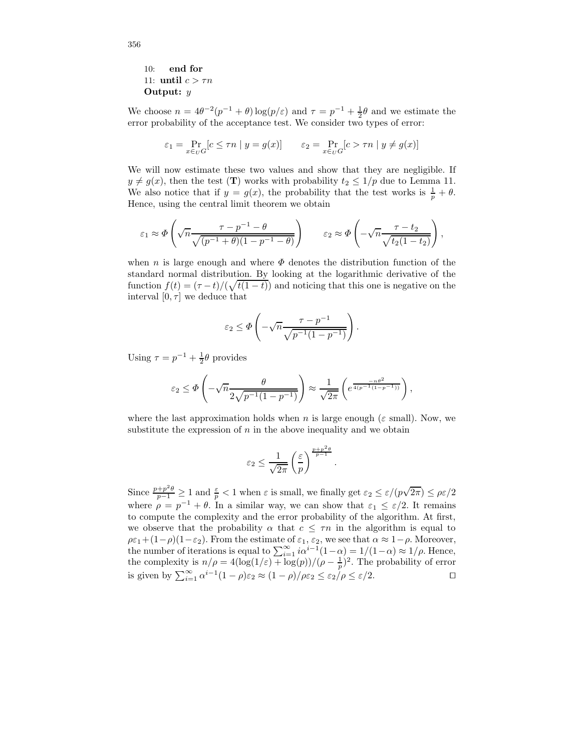10: end for 11: until  $c > \tau n$ Output: y

We choose  $n = 4\theta^{-2}(p^{-1} + \theta) \log(p/\varepsilon)$  and  $\tau = p^{-1} + \frac{1}{2}\theta$  and we estimate the error probability of the acceptance test. We consider two types of error:

$$
\varepsilon_1 = \Pr_{x \in_U G} [c \le \tau n \mid y = g(x)] \qquad \varepsilon_2 = \Pr_{x \in_U G} [c > \tau n \mid y \ne g(x)]
$$

We will now estimate these two values and show that they are negligible. If  $y \neq g(x)$ , then the test (T) works with probability  $t_2 \leq 1/p$  due to Lemma 11. We also notice that if  $y = g(x)$ , the probability that the test works is  $\frac{1}{p} + \theta$ . Hence, using the central limit theorem we obtain

$$
\varepsilon_1 \approx \Phi\left(\sqrt{n} \frac{\tau - p^{-1} - \theta}{\sqrt{(p^{-1} + \theta)(1 - p^{-1} - \theta)}}\right) \qquad \varepsilon_2 \approx \Phi\left(-\sqrt{n} \frac{\tau - t_2}{\sqrt{t_2(1 - t_2)}}\right),
$$

when n is large enough and where  $\Phi$  denotes the distribution function of the standard normal distribution. By looking at the logarithmic derivative of the function  $f(t) = (\tau - t)/(\sqrt{t(1-t)})$  and noticing that this one is negative on the interval  $[0, \tau]$  we deduce that

$$
\varepsilon_2 \le \Phi\left(-\sqrt{n}\frac{\tau - p^{-1}}{\sqrt{p^{-1}(1 - p^{-1})}}\right)
$$

.

Using  $\tau = p^{-1} + \frac{1}{2}\theta$  provides

$$
\varepsilon_2 \le \Phi\left(-\sqrt{n}\frac{\theta}{2\sqrt{p^{-1}(1-p^{-1})}}\right) \approx \frac{1}{\sqrt{2\pi}}\left(e^{\frac{-n\theta^2}{4(p^{-1}(1-p^{-1}))}}\right),
$$

where the last approximation holds when n is large enough ( $\varepsilon$  small). Now, we substitute the expression of  $n$  in the above inequality and we obtain

$$
\varepsilon_2 \leq \frac{1}{\sqrt{2\pi}} \left(\frac{\varepsilon}{p}\right)^{\frac{p+p^2\theta}{p-1}}
$$

.

Since  $\frac{p+p^2\theta}{p-1}\geq 1$  and  $\frac{\varepsilon}{p}<1$  when  $\varepsilon$  is small, we finally get  $\varepsilon_2\leq \varepsilon/(p\sqrt{2\pi})\leq \rho\varepsilon/2$ where  $\rho = p^{-1} + \theta$ . In a similar way, we can show that  $\varepsilon_1 \leq \varepsilon/2$ . It remains to compute the complexity and the error probability of the algorithm. At first, we observe that the probability  $\alpha$  that  $c \leq \tau n$  in the algorithm is equal to  $\rho \varepsilon_1 + (1-\rho)(1-\varepsilon_2)$ . From the estimate of  $\varepsilon_1$ ,  $\varepsilon_2$ , we see that  $\alpha \approx 1-\rho$ . Moreover, the number of iterations is equal to  $\sum_{i=1}^{\infty} i \alpha^{i-1} (1-\alpha) = 1/(1-\alpha) \approx 1/\rho.$  Hence, the complexity is  $n/\rho = 4(\log(1/\varepsilon) + \log(p))/(\rho - \frac{1}{p})^2$ . The probability of error is given by  $\sum_{i=1}^{\infty} \alpha^{i-1} (1-\rho) \varepsilon_2 \approx (1-\rho)/\rho \varepsilon_2 \leq \varepsilon_2/\rho \leq \varepsilon/2.$ 

356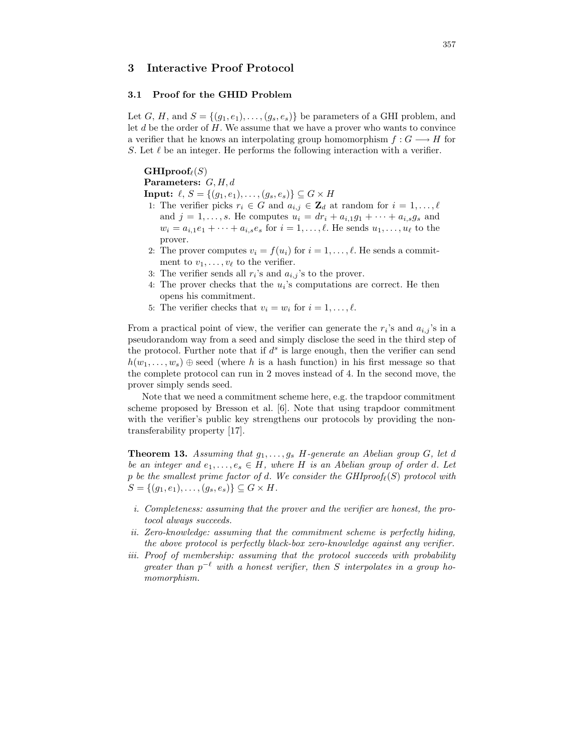# 3 Interactive Proof Protocol

#### 3.1 Proof for the GHID Problem

Let G, H, and  $S = \{(g_1, e_1), \ldots, (g_s, e_s)\}\$ be parameters of a GHI problem, and let  $d$  be the order of  $H$ . We assume that we have a prover who wants to convince a verifier that he knows an interpolating group homomorphism  $f: G \longrightarrow H$  for S. Let  $\ell$  be an integer. He performs the following interaction with a verifier.

# $GHIproofe(S)$

Parameters:  $G, H, d$ 

Input:  $\ell, S = \{(g_1, e_1), \ldots, (g_s, e_s)\} \subseteq G \times H$ 

- 1: The verifier picks  $r_i \in G$  and  $a_{i,j} \in \mathbf{Z}_d$  at random for  $i = 1, \ldots, \ell$ and  $j = 1, \ldots, s$ . He computes  $u_i = dr_i + a_{i,1}g_1 + \cdots + a_{i,s}g_s$  and  $w_i = a_{i,1}e_1 + \cdots + a_{i,s}e_s$  for  $i = 1,\ldots,\ell$ . He sends  $u_1,\ldots,u_\ell$  to the prover.
- 2: The prover computes  $v_i = f(u_i)$  for  $i = 1, \ldots, \ell$ . He sends a commitment to  $v_1, \ldots, v_\ell$  to the verifier.
- 3: The verifier sends all  $r_i$ 's and  $a_{i,j}$ 's to the prover.
- 4: The prover checks that the  $u_i$ 's computations are correct. He then opens his commitment.
- 5: The verifier checks that  $v_i = w_i$  for  $i = 1, \ldots, \ell$ .

From a practical point of view, the verifier can generate the  $r_i$ 's and  $a_{i,j}$ 's in a pseudorandom way from a seed and simply disclose the seed in the third step of the protocol. Further note that if  $d^s$  is large enough, then the verifier can send  $h(w_1, \ldots, w_s) \oplus$  seed (where h is a hash function) in his first message so that the complete protocol can run in 2 moves instead of 4. In the second move, the prover simply sends seed.

Note that we need a commitment scheme here, e.g. the trapdoor commitment scheme proposed by Bresson et al. [6]. Note that using trapdoor commitment with the verifier's public key strengthens our protocols by providing the nontransferability property [17].

**Theorem 13.** Assuming that  $g_1, \ldots, g_s$  H-generate an Abelian group G, let d be an integer and  $e_1, \ldots, e_s \in H$ , where H is an Abelian group of order d. Let p be the smallest prime factor of d. We consider the  $GHIproof_{\ell}(S)$  protocol with  $S = \{(g_1, e_1), \ldots, (g_s, e_s)\} \subseteq G \times H.$ 

- i. Completeness: assuming that the prover and the verifier are honest, the protocol always succeeds.
- ii. Zero-knowledge: assuming that the commitment scheme is perfectly hiding, the above protocol is perfectly black-box zero-knowledge against any verifier.
- iii. Proof of membership: assuming that the protocol succeeds with probability greater than  $p^{-\ell}$  with a honest verifier, then S interpolates in a group homomorphism.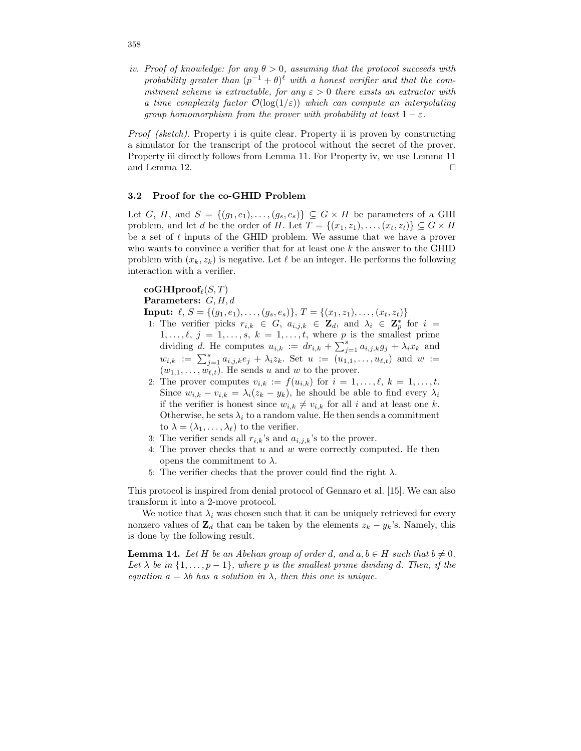iv. Proof of knowledge: for any  $\theta > 0$ , assuming that the protocol succeeds with probability greater than  $(p^{-1} + \theta)^{\ell}$  with a honest verifier and that the commitment scheme is extractable, for any  $\varepsilon > 0$  there exists an extractor with a time complexity factor  $\mathcal{O}(\log(1/\varepsilon))$  which can compute an interpolating group homomorphism from the prover with probability at least  $1 - \varepsilon$ .

Proof (sketch). Property i is quite clear. Property ii is proven by constructing a simulator for the transcript of the protocol without the secret of the prover. Property iii directly follows from Lemma 11. For Property iv, we use Lemma 11 and Lemma 12.  $\Box$ 

#### 3.2 Proof for the co-GHID Problem

Let G, H, and  $S = \{(g_1, e_1), \ldots, (g_s, e_s)\} \subseteq G \times H$  be parameters of a GHI problem, and let d be the order of H. Let  $T = \{(x_1, z_1), \ldots, (x_t, z_t)\} \subseteq G \times H$ be a set of t inputs of the GHID problem. We assume that we have a prover who wants to convince a verifier that for at least one  $k$  the answer to the GHID problem with  $(x_k, z_k)$  is negative. Let  $\ell$  be an integer. He performs the following interaction with a verifier.

### $\mathbf{coGHI}$ proof $\mathcal{C}(S, T)$

Parameters:  $G, H, d$ 

- **Input:**  $\ell, S = \{(g_1, e_1), \ldots, (g_s, e_s)\}, T = \{(x_1, z_1), \ldots, (x_t, z_t)\}$ 
	- 1: The verifier picks  $r_{i,k} \in G$ ,  $a_{i,j,k} \in \mathbb{Z}_d$ , and  $\lambda_i \in \mathbb{Z}_p^*$  for  $i =$  $1, \ldots, \ell, j = 1, \ldots, s, k = 1, \ldots, t$ , where p is the smallest prime dividing d. He computes  $u_{i,k} := dr_{i,k} + \sum_{j=1}^s a_{i,j,k}g_j + \lambda_i x_k$  and  $w_{i,k} := \sum_{j=1}^{s} a_{i,j,k} e_j + \lambda_i z_k$ . Set  $u := (u_{1,1}, \ldots, u_{\ell,t})$  and  $w :=$  $(w_{1,1}, \ldots, w_{\ell,t})$ . He sends u and w to the prover.
- 2: The prover computes  $v_{i,k} := f(u_{i,k})$  for  $i = 1, \ldots, \ell, k = 1, \ldots, t$ . Since  $w_{i,k} - v_{i,k} = \lambda_i (z_k - y_k)$ , he should be able to find every  $\lambda_i$ if the verifier is honest since  $w_{i,k} \neq v_{i,k}$  for all i and at least one k. Otherwise, he sets  $\lambda_i$  to a random value. He then sends a commitment to  $\lambda = (\lambda_1, \ldots, \lambda_\ell)$  to the verifier.
- 3: The verifier sends all  $r_{i,k}$ 's and  $a_{i,j,k}$ 's to the prover.
- 4: The prover checks that  $u$  and  $w$  were correctly computed. He then opens the commitment to  $\lambda$ .
- 5: The verifier checks that the prover could find the right  $\lambda$ .

This protocol is inspired from denial protocol of Gennaro et al. [15]. We can also transform it into a 2-move protocol.

We notice that  $\lambda_i$  was chosen such that it can be uniquely retrieved for every nonzero values of  $\mathbf{Z}_d$  that can be taken by the elements  $z_k - y_k$ 's. Namely, this is done by the following result.

**Lemma 14.** Let H be an Abelian group of order d, and  $a, b \in H$  such that  $b \neq 0$ . Let  $\lambda$  be in  $\{1,\ldots,p-1\}$ , where p is the smallest prime dividing d. Then, if the equation  $a = \lambda b$  has a solution in  $\lambda$ , then this one is unique.

358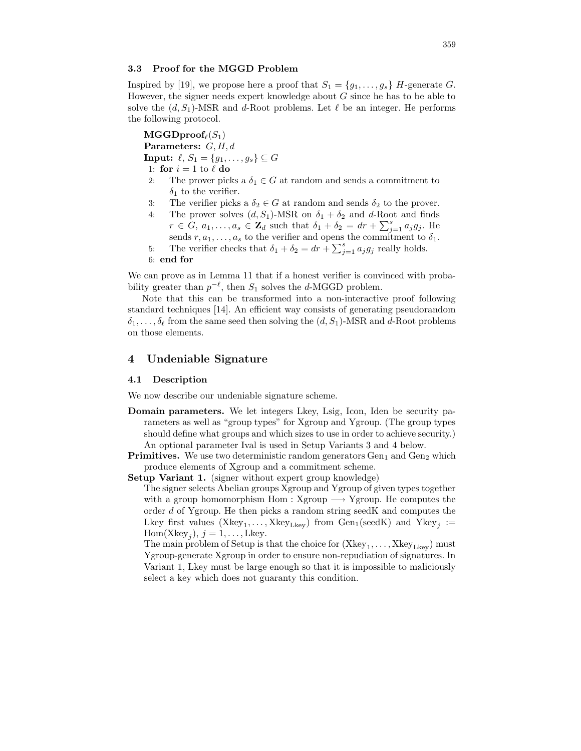#### 3.3 Proof for the MGGD Problem

Inspired by [19], we propose here a proof that  $S_1 = \{g_1, \ldots, g_s\}$  H-generate G. However, the signer needs expert knowledge about G since he has to be able to solve the  $(d, S_1)$ -MSR and d-Root problems. Let  $\ell$  be an integer. He performs the following protocol.

 $MGGDproof<sub>\ell</sub>(S<sub>1</sub>)$ Parameters:  $G, H, d$ Input:  $\ell, S_1 = \{g_1, \ldots, g_s\} \subseteq G$ 1: for  $i = 1$  to  $\ell$  do

- 2: The prover picks a  $\delta_1 \in G$  at random and sends a commitment to  $\delta_1$  to the verifier.
- 3: The verifier picks a  $\delta_2 \in G$  at random and sends  $\delta_2$  to the prover.<br>4: The prover solves  $(d, S_1)$ -MSR on  $\delta_1 + \delta_2$  and d-Root and finds
- The prover solves  $(d, S_1)$ -MSR on  $\delta_1 + \delta_2$  and d-Root and finds  $r \in G$ ,  $a_1, \ldots, a_s \in \mathbb{Z}_d$  such that  $\delta_1 + \delta_2 = dr + \sum_{j=1}^s a_j g_j$ . He sends  $r, a_1, \ldots, a_s$  to the verifier and opens the commitment to  $\delta_1$ .
- 5: The verifier checks that  $\delta_1 + \delta_2 = dr + \sum_{j=1}^s a_j g_j$  really holds.
- 6: end for

We can prove as in Lemma 11 that if a honest verifier is convinced with probability greater than  $p^{-\ell}$ , then  $S_1$  solves the d-MGGD problem.

Note that this can be transformed into a non-interactive proof following standard techniques [14]. An efficient way consists of generating pseudorandom  $\delta_1, \ldots, \delta_\ell$  from the same seed then solving the  $(d, S_1)$ -MSR and d-Root problems on those elements.

## 4 Undeniable Signature

### 4.1 Description

We now describe our undeniable signature scheme.

- Domain parameters. We let integers Lkey, Lsig, Icon, Iden be security parameters as well as "group types" for Xgroup and Ygroup. (The group types should define what groups and which sizes to use in order to achieve security.) An optional parameter Ival is used in Setup Variants 3 and 4 below.
- **Primitives.** We use two deterministic random generators  $Gen_1$  and  $Gen_2$  which produce elements of Xgroup and a commitment scheme.
- Setup Variant 1. (signer without expert group knowledge)

The signer selects Abelian groups Xgroup and Ygroup of given types together with a group homomorphism Hom : Xgroup  $\longrightarrow$  Ygroup. He computes the order d of Ygroup. He then picks a random string seedK and computes the Lkey first values  $(Xkey_1, \ldots, Xkey_{Lkey})$  from  $Gen_1(seedK)$  and  $Ykey_j :=$  $Hom(Xkey_j), j = 1, \ldots, Lkey.$ 

The main problem of Setup is that the choice for  $(Xkey_1, \ldots, Xkey_{Lkey})$  must Ygroup-generate Xgroup in order to ensure non-repudiation of signatures. In Variant 1, Lkey must be large enough so that it is impossible to maliciously select a key which does not guaranty this condition.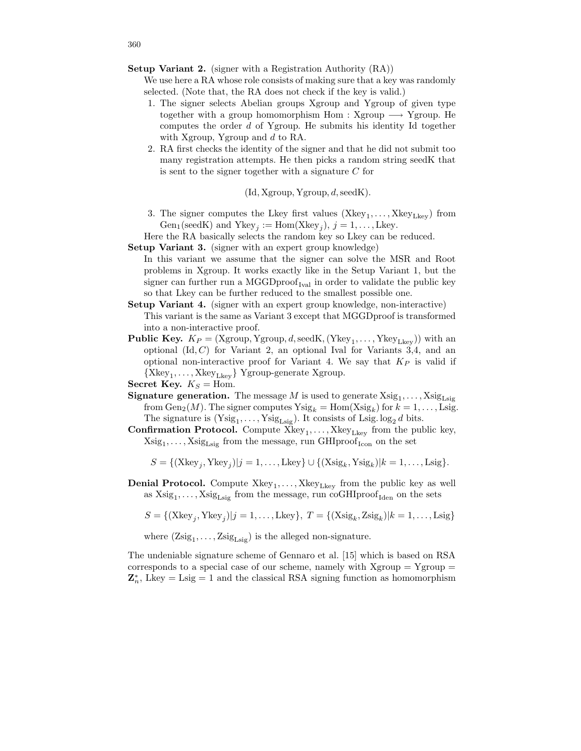- Setup Variant 2. (signer with a Registration Authority (RA))
	- We use here a RA whose role consists of making sure that a key was randomly selected. (Note that, the RA does not check if the key is valid.)
		- 1. The signer selects Abelian groups Xgroup and Ygroup of given type together with a group homomorphism Hom : Xgroup  $\longrightarrow$  Ygroup. He computes the order d of Ygroup. He submits his identity Id together with Xgroup, Ygroup and d to RA.
		- 2. RA first checks the identity of the signer and that he did not submit too many registration attempts. He then picks a random string seedK that is sent to the signer together with a signature  $C$  for

 $(\text{Id}, \text{Xgroup}, \text{Ygroup}, d, \text{seedK}).$ 

3. The signer computes the Lkey first values  $(Xkey_1, \ldots, Xkey_{Lkey})$  from Gen<sub>1</sub>(seedK) and Ykey<sub>j</sub> :=  $\text{Hom}(\text{Xkey}_j)$ ,  $j = 1, ...,$  Lkey.

Here the RA basically selects the random key so Lkey can be reduced.

- Setup Variant 3. (signer with an expert group knowledge)
- In this variant we assume that the signer can solve the MSR and Root problems in Xgroup. It works exactly like in the Setup Variant 1, but the signer can further run a MGGDproof $_{Ival}$  in order to validate the public key so that Lkey can be further reduced to the smallest possible one.
- Setup Variant 4. (signer with an expert group knowledge, non-interactive) This variant is the same as Variant 3 except that MGGDproof is transformed into a non-interactive proof.
- **Public Key.**  $K_P = (\text{Xgroup}, \text{Ygroup}, d, \text{seedK}, (\text{Ykey}_1, \dots, \text{Ykey}_{\text{Lkey}}))$  with an optional  $(\text{Id}, C)$  for Variant 2, an optional Ival for Variants 3,4, and an optional non-interactive proof for Variant 4. We say that  $K_P$  is valid if  ${Xkey}_1, \ldots, Xkey_{Lkey}$  Ygroup-generate Xgroup.
- Secret Key.  $K_S =$  Hom.
- **Signature generation.** The message M is used to generate  $Xsig_1, \ldots, Xsig_{Lsig}$ from  $Gen_2(M)$ . The signer computes  $Ysig_k = Hom(Xsig_k)$  for  $k = 1, ..., Lsig$ . The signature is  $(Ysig_1, \ldots, Ysig_{Lsig})$ . It consists of Lsig.  $log_2 d$  bits.
- **Confirmation Protocol.** Compute  $Xkey_1, \ldots, Xkey_{Lkey}$  from the public key,  $Xsig_1, \ldots, Xsig_{Lsig}$  from the message, run GHIproof<sub>Icon</sub> on the set

 $S = \{(\text{Xkey}_j, \text{Ykey}_j)|j = 1, \ldots, \text{Lkey}\} \cup \{(\text{Xsig}_k, \text{Ysig}_k)|k = 1, \ldots, \text{Lsig}\}.$ 

**Denial Protocol.** Compute  $Xkey_1, \ldots, Xkey_{Lkey}$  from the public key as well as  $Xsig_1, \ldots, Xsig_{Lsig}$  from the message, run coGHIproof $_{\rm{Iden}}$  on the sets

 $S = \{ (X \text{key}_j, \text{Ykey}_j) | j = 1, ..., \text{Lkey} \}, T = \{ (X \text{sig}_k, \text{Zsig}_k) | k = 1, ..., \text{Lsig} \}$ 

where  $(Zsig_1, \ldots, Zsig_{Lsig})$  is the alleged non-signature.

The undeniable signature scheme of Gennaro et al. [15] which is based on RSA corresponds to a special case of our scheme, namely with  $X$ group  $=$  Ygroup  $=$  $\mathbf{Z}_n^*$ , Lkey = Lsig = 1 and the classical RSA signing function as homomorphism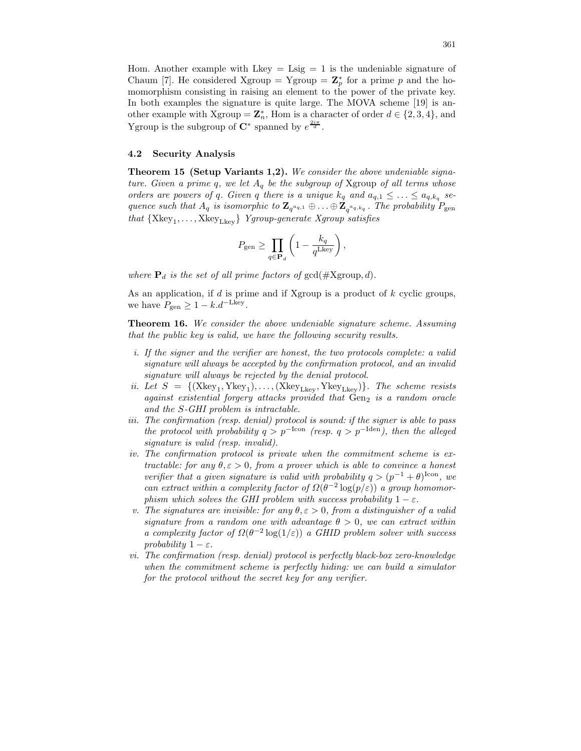Hom. Another example with Lkey  $=$  Lsig  $=$  1 is the undeniable signature of Chaum [7]. He considered Xgroup = Ygroup =  $\mathbb{Z}_p^*$  for a prime p and the homomorphism consisting in raising an element to the power of the private key. In both examples the signature is quite large. The MOVA scheme [19] is another example with Xgroup =  $\mathbf{Z}_n^*$ , Hom is a character of order  $d \in \{2,3,4\}$ , and Ygroup is the subgroup of  $\mathbb{C}^*$  spanned by  $e^{\frac{2i\pi}{d}}$ .

#### 4.2 Security Analysis

Theorem 15 (Setup Variants 1,2). We consider the above undeniable signature. Given a prime q, we let  $A_q$  be the subgroup of Xgroup of all terms whose orders are powers of q. Given q there is a unique  $k_q$  and  $a_{q,1} \leq \ldots \leq a_{q,k_q}$  sequence such that  $A_q$  is isomorphic to  $\mathbf{Z}_{q^{a_{q,1}}} \oplus \ldots \oplus \mathbf{Z}_{q^{a_{q,k_q}}}$ . The probability  $P_{\text{gen}}$ that  $\{Xkey_1, \ldots, Xkey_{Lkey}\}\$  Ygroup-generate Xgroup satisfies

$$
P_{\text{gen}} \ge \prod_{q \in \mathbf{P}_d} \left( 1 - \frac{k_q}{q^{\text{Lkey}}} \right),
$$

where  $P_d$  is the set of all prime factors of  $gcd(\#\text{Xgroup}, d)$ .

As an application, if  $d$  is prime and if Xgroup is a product of  $k$  cyclic groups, we have  $P_{\text{gen}} \geq 1 - k \cdot d^{-\text{Lkey}}$ .

Theorem 16. We consider the above undeniable signature scheme. Assuming that the public key is valid, we have the following security results.

- i. If the signer and the verifier are honest, the two protocols complete: a valid signature will always be accepted by the confirmation protocol, and an invalid signature will always be rejected by the denial protocol.
- *ii.* Let  $S = \{(\text{Xkey}_1, \text{Ykey}_1), \dots, (\text{Xkey}_{\text{Lkey}}, \text{Ykey}_{\text{Lkey}})\}\.$  The scheme resists against existential forgery attacks provided that  $Gen_2$  is a random oracle and the S-GHI problem is intractable.
- iii. The confirmation (resp. denial) protocol is sound: if the signer is able to pass the protocol with probability  $q > p^{-1 \text{con}}$  (resp.  $q > p^{-1 \text{den}}$ ), then the alleged signature is valid (resp. invalid).
- iv. The confirmation protocol is private when the commitment scheme is extractable: for any  $\theta, \varepsilon > 0$ , from a prover which is able to convince a honest verifier that a given signature is valid with probability  $q > (p^{-1} + \theta)^{\text{Icon}}$ , we can extract within a complexity factor of  $\Omega(\theta^{-2} \log(p/\varepsilon))$  a group homomorphism which solves the GHI problem with success probability  $1 - \varepsilon$ .
- v. The signatures are invisible: for any  $\theta, \epsilon > 0$ , from a distinguisher of a valid signature from a random one with advantage  $\theta > 0$ , we can extract within a complexity factor of  $\Omega(\theta^{-2}\log(1/\varepsilon))$  a GHID problem solver with success probability  $1 - \varepsilon$ .
- vi. The confirmation (resp. denial) protocol is perfectly black-box zero-knowledge when the commitment scheme is perfectly hiding: we can build a simulator for the protocol without the secret key for any verifier.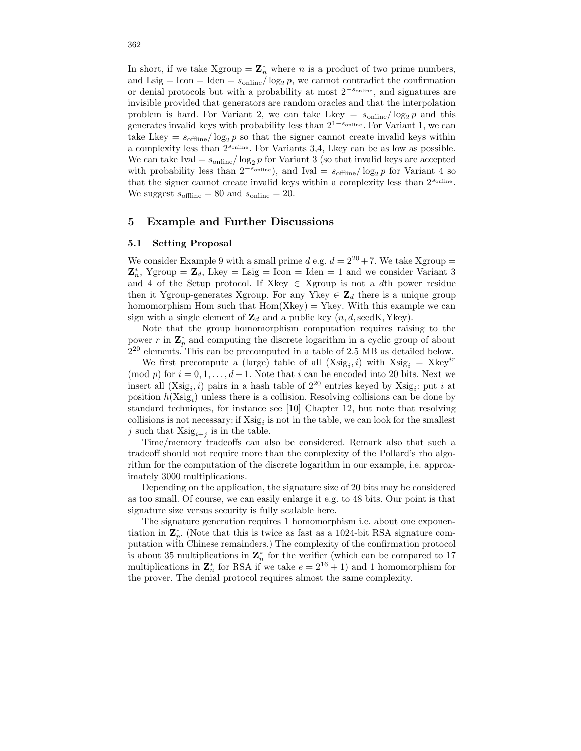In short, if we take  $X$ group =  $\mathbb{Z}_n^*$  where n is a product of two prime numbers, and Lsig = Icon = Iden =  $s_{\text{online}}/\log_2 p$ , we cannot contradict the confirmation or denial protocols but with a probability at most  $2^{-s_{\text{online}}}$ , and signatures are invisible provided that generators are random oracles and that the interpolation problem is hard. For Variant 2, we can take Lkey =  $s_{\text{online}}/\log_2 p$  and this generates invalid keys with probability less than  $2^{1-s_{\text{online}}}$ . For Variant 1, we can take Lkey =  $s_{\text{offline}}/\log_2 p$  so that the signer cannot create invalid keys within a complexity less than  $2^{s_{\text{online}}}$ . For Variants 3,4, Lkey can be as low as possible. We can take Ival  $= s_{\text{online}} / \log_2 p$  for Variant 3 (so that invalid keys are accepted with probability less than  $2^{-s_{\text{online}}}\,$ , and Ival =  $s_{\text{offline}}/\log_2 p$  for Variant 4 so that the signer cannot create invalid keys within a complexity less than  $2^{s_{\text{online}}}$ . We suggest  $s_{\text{offline}} = 80$  and  $s_{\text{online}} = 20$ .

### 5 Example and Further Discussions

### 5.1 Setting Proposal

We consider Example 9 with a small prime d e.g.  $d = 2^{20} + 7$ . We take Xgroup =  $\mathbf{Z}_n^*$ , Ygroup =  $\mathbf{Z}_d$ , Lkey = Lsig = Icon = Iden = 1 and we consider Variant 3 and 4 of the Setup protocol. If Xkey  $\in$  Xgroup is not a dth power residue then it Ygroup-generates Xgroup. For any Ykey  $\in \mathbb{Z}_d$  there is a unique group homomorphism Hom such that  $Hom(Xkey) = Ykey$ . With this example we can sign with a single element of  $\mathbf{Z}_d$  and a public key  $(n, d, \text{seedK}, \text{Ykey}).$ 

Note that the group homomorphism computation requires raising to the power r in  $\mathbf{Z}_p^*$  and computing the discrete logarithm in a cyclic group of about 2 <sup>20</sup> elements. This can be precomputed in a table of 2.5 MB as detailed below.

We first precompute a (large) table of all  $(Xsig_i, i)$  with  $Xsig_i = Xkey^{ir}$ (mod p) for  $i = 0, 1, \ldots, d - 1$ . Note that i can be encoded into 20 bits. Next we insert all  $(Xsig_i, i)$  pairs in a hash table of  $2^{20}$  entries keyed by  $Xsig_i$ : put i at position  $h(Xsig_i)$  unless there is a collision. Resolving collisions can be done by standard techniques, for instance see [10] Chapter 12, but note that resolving collisions is not necessary: if  $Xsig_i$  is not in the table, we can look for the smallest j such that  $Xsig_{i+j}$  is in the table.

Time/memory tradeoffs can also be considered. Remark also that such a tradeoff should not require more than the complexity of the Pollard's rho algorithm for the computation of the discrete logarithm in our example, i.e. approximately 3000 multiplications.

Depending on the application, the signature size of 20 bits may be considered as too small. Of course, we can easily enlarge it e.g. to 48 bits. Our point is that signature size versus security is fully scalable here.

The signature generation requires 1 homomorphism i.e. about one exponentiation in  $\mathbf{Z}_p^*$ . (Note that this is twice as fast as a 1024-bit RSA signature computation with Chinese remainders.) The complexity of the confirmation protocol is about 35 multiplications in  $\mathbb{Z}_n^*$  for the verifier (which can be compared to 17 multiplications in  $\mathbb{Z}_n^*$  for RSA if we take  $e = 2^{16} + 1$  and 1 homomorphism for the prover. The denial protocol requires almost the same complexity.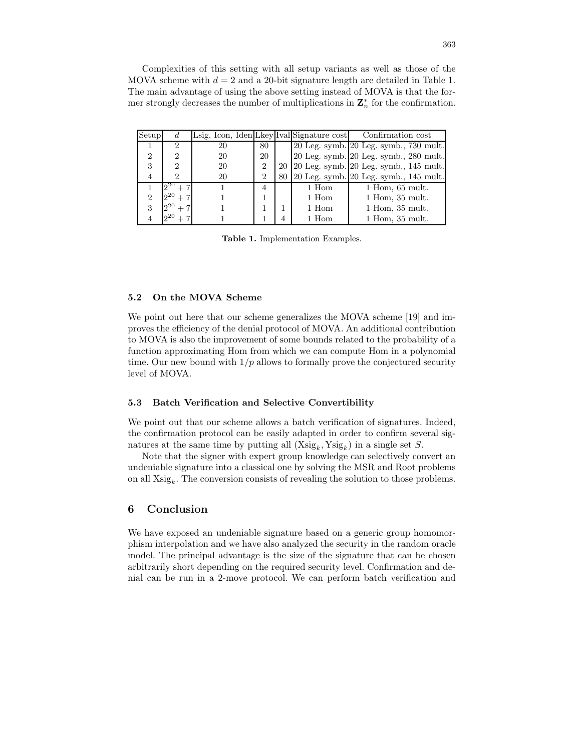Complexities of this setting with all setup variants as well as those of the MOVA scheme with  $d = 2$  and a 20-bit signature length are detailed in Table 1. The main advantage of using the above setting instead of MOVA is that the former strongly decreases the number of multiplications in  $\mathbf{Z}_n^*$  for the confirmation.

| Setup                       |                        |    |    |       | Lsig, Icon, Iden Lkey Ival Signature cost  Confirmation cost |
|-----------------------------|------------------------|----|----|-------|--------------------------------------------------------------|
|                             | 2                      | 20 | 80 |       | $20$ Leg. symb. $20$ Leg. symb., 730 mult.                   |
| $\mathcal{D}_{\mathcal{L}}$ | 2                      | 20 | 20 |       | $20$ Leg. symb. $20$ Leg. symb., $280$ mult.                 |
| 3                           | $\overline{2}$         | 20 | 2  |       | 20 20 Leg. symb. 20 Leg. symb., 145 mult.                    |
| 4                           | 2                      | 20 | 2  |       | 80 20 Leg. symb. 20 Leg. symb., 145 mult.                    |
|                             | $2^{20}$               |    |    | 1 Hom | $1$ Hom, $65$ mult.                                          |
| $\overline{2}$              | $12^{20}$              |    |    | 1 Hom | 1 Hom, 35 mult.                                              |
| 3                           | $2^{20}$               |    |    | 1 Hom | 1 Hom, 35 mult.                                              |
|                             | $\Omega$ <sup>20</sup> |    |    | 1 Hom | 1 Hom, 35 mult.                                              |

Table 1. Implementation Examples.

### 5.2 On the MOVA Scheme

We point out here that our scheme generalizes the MOVA scheme [19] and improves the efficiency of the denial protocol of MOVA. An additional contribution to MOVA is also the improvement of some bounds related to the probability of a function approximating Hom from which we can compute Hom in a polynomial time. Our new bound with  $1/p$  allows to formally prove the conjectured security level of MOVA.

#### 5.3 Batch Verification and Selective Convertibility

We point out that our scheme allows a batch verification of signatures. Indeed, the confirmation protocol can be easily adapted in order to confirm several signatures at the same time by putting all  $(Xsig_k, Ysig_k)$  in a single set S.

Note that the signer with expert group knowledge can selectively convert an undeniable signature into a classical one by solving the MSR and Root problems on all  $Xsig_k$ . The conversion consists of revealing the solution to those problems.

### 6 Conclusion

We have exposed an undeniable signature based on a generic group homomorphism interpolation and we have also analyzed the security in the random oracle model. The principal advantage is the size of the signature that can be chosen arbitrarily short depending on the required security level. Confirmation and denial can be run in a 2-move protocol. We can perform batch verification and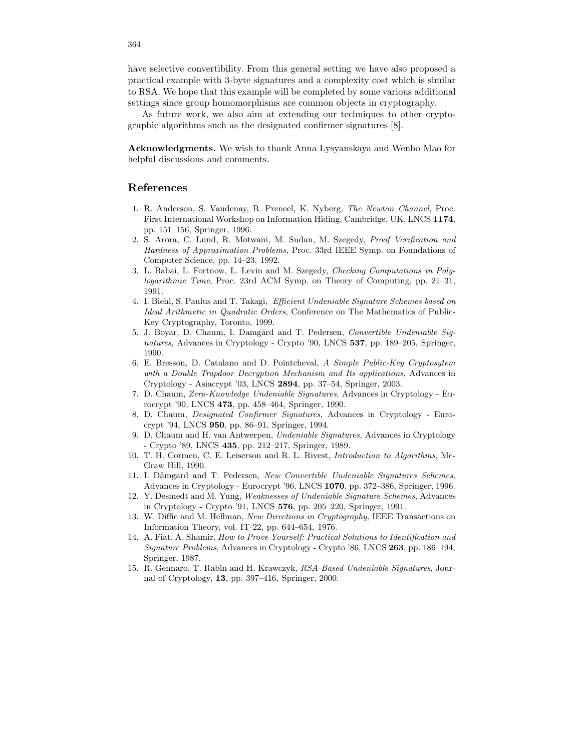have selective convertibility. From this general setting we have also proposed a practical example with 3-byte signatures and a complexity cost which is similar to RSA. We hope that this example will be completed by some various additional settings since group homomorphisms are common objects in cryptography.

As future work, we also aim at extending our techniques to other cryptographic algorithms such as the designated confirmer signatures [8].

Acknowledgments. We wish to thank Anna Lysyanskaya and Wenbo Mao for helpful discussions and comments.

### References

- 1. R. Anderson, S. Vaudenay, B. Preneel, K. Nyberg, The Newton Channel, Proc. First International Workshop on Information Hiding, Cambridge, UK, LNCS 1174, pp. 151–156, Springer, 1996.
- 2. S. Arora, C. Lund, R. Motwani, M. Sudan, M. Szegedy, Proof Verification and Hardness of Approximation Problems, Proc. 33rd IEEE Symp. on Foundations of Computer Science, pp. 14–23, 1992.
- 3. L. Babai, L. Fortnow, L. Levin and M. Szegedy, Checking Computations in Polylogarithmic Time, Proc. 23rd ACM Symp. on Theory of Computing, pp. 21–31, 1991.
- 4. I. Biehl, S. Paulus and T. Takagi, Efficient Undeniable Signature Schemes based on Ideal Arithmetic in Quadratic Orders, Conference on The Mathematics of Public-Key Cryptography, Toronto, 1999.
- 5. J. Boyar, D. Chaum, I. Damgård and T. Pedersen, Convertible Undeniable Signatures, Advances in Cryptology - Crypto '90, LNCS 537, pp. 189–205, Springer, 1990.
- 6. E. Bresson, D. Catalano and D. Pointcheval, A Simple Public-Key Cryptosytem with a Double Trapdoor Decryption Mechanism and Its applications, Advances in Cryptology - Asiacrypt '03, LNCS 2894, pp. 37–54, Springer, 2003.
- 7. D. Chaum, Zero-Knowledge Undeniable Signatures, Advances in Cryptology Eurocrypt '90, LNCS 473, pp. 458–464, Springer, 1990.
- 8. D. Chaum, Designated Confirmer Signatures, Advances in Cryptology Eurocrypt '94, LNCS 950, pp. 86–91, Springer, 1994.
- 9. D. Chaum and H. van Antwerpen, Undeniable Signatures, Advances in Cryptology - Crypto '89, LNCS 435, pp. 212–217, Springer, 1989.
- 10. T. H. Cormen, C. E. Leiserson and R. L. Rivest, Introduction to Algorithms, Mc-Graw Hill, 1990.
- 11. I. Dåmgard and T. Pedersen, New Convertible Undeniable Signatures Schemes, Advances in Cryptology - Eurocrypt '96, LNCS 1070, pp. 372–386, Springer, 1996.
- 12. Y. Desmedt and M. Yung, Weaknesses of Undeniable Signature Schemes, Advances in Cryptology - Crypto '91, LNCS 576, pp. 205–220, Springer, 1991.
- 13. W. Diffie and M. Hellman, New Directions in Cryptography, IEEE Transactions on Information Theory, vol. IT-22, pp. 644–654, 1976.
- 14. A. Fiat, A. Shamir, How to Prove Yourself: Practical Solutions to Identification and Signature Problems, Advances in Cryptology - Crypto '86, LNCS 263, pp. 186–194, Springer, 1987.
- 15. R. Gennaro, T. Rabin and H. Krawczyk, RSA-Based Undeniable Signatures, Journal of Cryptology, 13, pp. 397–416, Springer, 2000.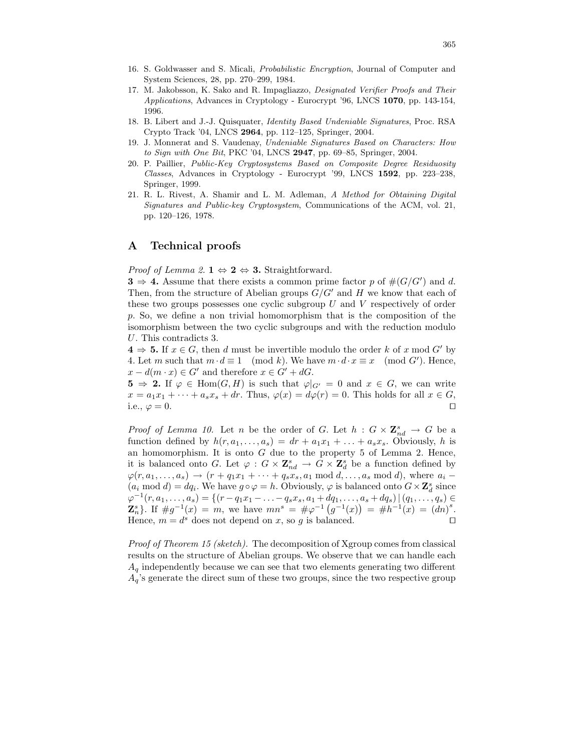- 16. S. Goldwasser and S. Micali, Probabilistic Encryption, Journal of Computer and System Sciences, 28, pp. 270–299, 1984.
- 17. M. Jakobsson, K. Sako and R. Impagliazzo, Designated Verifier Proofs and Their Applications, Advances in Cryptology - Eurocrypt '96, LNCS 1070, pp. 143-154, 1996.
- 18. B. Libert and J.-J. Quisquater, Identity Based Undeniable Signatures, Proc. RSA Crypto Track '04, LNCS 2964, pp. 112–125, Springer, 2004.
- 19. J. Monnerat and S. Vaudenay, Undeniable Signatures Based on Characters: How to Sign with One Bit, PKC '04, LNCS 2947, pp. 69–85, Springer, 2004.
- 20. P. Paillier, Public-Key Cryptosystems Based on Composite Degree Residuosity Classes, Advances in Cryptology - Eurocrypt '99, LNCS 1592, pp. 223–238, Springer, 1999.
- 21. R. L. Rivest, A. Shamir and L. M. Adleman, A Method for Obtaining Digital Signatures and Public-key Cryptosystem, Communications of the ACM, vol. 21, pp. 120–126, 1978.

# A Technical proofs

*Proof of Lemma 2.*  $1 \Leftrightarrow 2 \Leftrightarrow 3$ . Straightforward.

3 ⇒ 4. Assume that there exists a common prime factor p of  $#(G/G')$  and d. Then, from the structure of Abelian groups  $G/G'$  and H we know that each of these two groups possesses one cyclic subgroup  $U$  and  $V$  respectively of order p. So, we define a non trivial homomorphism that is the composition of the isomorphism between the two cyclic subgroups and with the reduction modulo U. This contradicts 3.

 $4 \Rightarrow 5$ . If  $x \in G$ , then d must be invertible modulo the order k of x mod G' by 4. Let m such that  $m \cdot d \equiv 1 \pmod{k}$ . We have  $m \cdot d \cdot x \equiv x \pmod{G'}$ . Hence,  $x - d(m \cdot x) \in G'$  and therefore  $x \in G' + dG$ .

 $\mathbf{5} \Rightarrow \mathbf{2}.$  If  $\varphi \in \text{Hom}(G, H)$  is such that  $\varphi|_{G'} = 0$  and  $x \in G$ , we can write  $x = a_1x_1 + \cdots + a_sx_s + dr$ . Thus,  $\varphi(x) = d\varphi(r) = 0$ . This holds for all  $x \in G$ , i.e.,  $\varphi = 0$ . i.e.,  $\varphi = 0$ .

*Proof of Lemma 10.* Let *n* be the order of *G*. Let  $h: G \times \mathbb{Z}_{nd}^s \to G$  be a function defined by  $h(r, a_1, \ldots, a_s) = dr + a_1x_1 + \ldots + a_sx_s$ . Obviously, h is an homomorphism. It is onto  $G$  due to the property 5 of Lemma 2. Hence, it is balanced onto G. Let  $\varphi: G \times \mathbf{Z}_{nd}^s \to G \times \mathbf{Z}_{d}^s$  be a function defined by  $\varphi(r, a_1, \ldots, a_s) \rightarrow (r + q_1 x_1 + \cdots + q_s x_s, a_1 \mod d, \ldots, a_s \mod d)$ , where  $a_i$  $(a_i \mod d) = dq_i$ . We have  $g \circ \varphi = h$ . Obviously,  $\varphi$  is balanced onto  $G \times \mathbb{Z}_d^s$  since  $\varphi^{-1}(r, a_1, \ldots, a_s) = \{ (r - q_1 x_1 - \ldots - q_s x_s, a_1 + dq_1, \ldots, a_s + dq_s) \mid (q_1, \ldots, q_s) \in$  $\mathbf{Z}_n^s$ . If  $\#g^{-1}(x) = m$ , we have  $mn^s = \# \varphi^{-1}(g^{-1}(x)) = \#h^{-1}(x) = (dn)^s$ . Hence,  $m = d^s$  does not depend on x, so g is balanced.

Proof of Theorem 15 (sketch). The decomposition of Xgroup comes from classical results on the structure of Abelian groups. We observe that we can handle each  $A_q$  independently because we can see that two elements generating two different  $A_q$ 's generate the direct sum of these two groups, since the two respective group